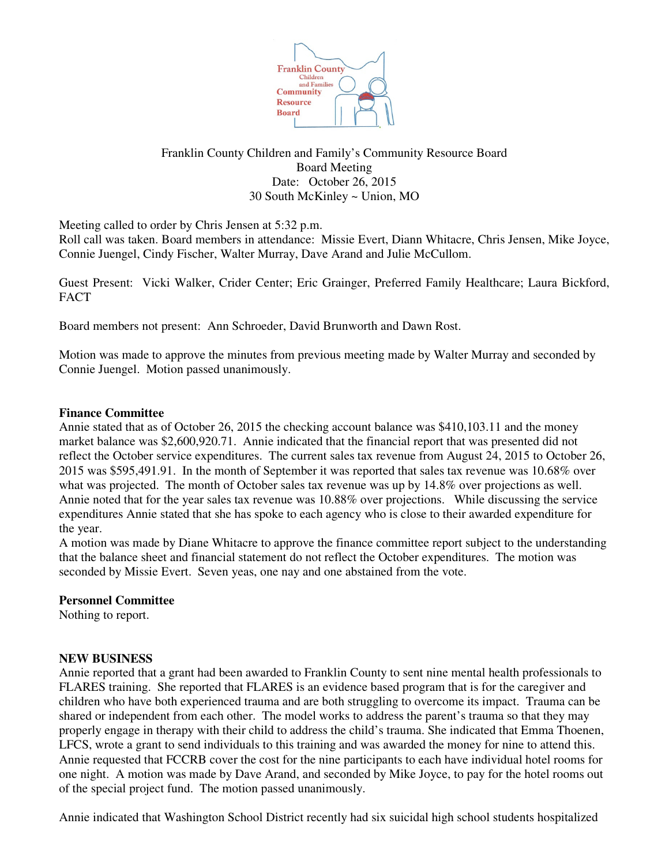

# Franklin County Children and Family's Community Resource Board Board Meeting Date: October 26, 2015 30 South McKinley ~ Union, MO

Meeting called to order by Chris Jensen at 5:32 p.m.

Roll call was taken. Board members in attendance: Missie Evert, Diann Whitacre, Chris Jensen, Mike Joyce, Connie Juengel, Cindy Fischer, Walter Murray, Dave Arand and Julie McCullom.

Guest Present: Vicki Walker, Crider Center; Eric Grainger, Preferred Family Healthcare; Laura Bickford, **FACT** 

Board members not present: Ann Schroeder, David Brunworth and Dawn Rost.

Motion was made to approve the minutes from previous meeting made by Walter Murray and seconded by Connie Juengel. Motion passed unanimously.

### **Finance Committee**

Annie stated that as of October 26, 2015 the checking account balance was \$410,103.11 and the money market balance was \$2,600,920.71. Annie indicated that the financial report that was presented did not reflect the October service expenditures. The current sales tax revenue from August 24, 2015 to October 26, 2015 was \$595,491.91. In the month of September it was reported that sales tax revenue was 10.68% over what was projected. The month of October sales tax revenue was up by 14.8% over projections as well. Annie noted that for the year sales tax revenue was 10.88% over projections. While discussing the service expenditures Annie stated that she has spoke to each agency who is close to their awarded expenditure for the year.

A motion was made by Diane Whitacre to approve the finance committee report subject to the understanding that the balance sheet and financial statement do not reflect the October expenditures. The motion was seconded by Missie Evert. Seven yeas, one nay and one abstained from the vote.

#### **Personnel Committee**

Nothing to report.

#### **NEW BUSINESS**

Annie reported that a grant had been awarded to Franklin County to sent nine mental health professionals to FLARES training. She reported that FLARES is an evidence based program that is for the caregiver and children who have both experienced trauma and are both struggling to overcome its impact. Trauma can be shared or independent from each other. The model works to address the parent's trauma so that they may properly engage in therapy with their child to address the child's trauma. She indicated that Emma Thoenen, LFCS, wrote a grant to send individuals to this training and was awarded the money for nine to attend this. Annie requested that FCCRB cover the cost for the nine participants to each have individual hotel rooms for one night. A motion was made by Dave Arand, and seconded by Mike Joyce, to pay for the hotel rooms out of the special project fund. The motion passed unanimously.

Annie indicated that Washington School District recently had six suicidal high school students hospitalized